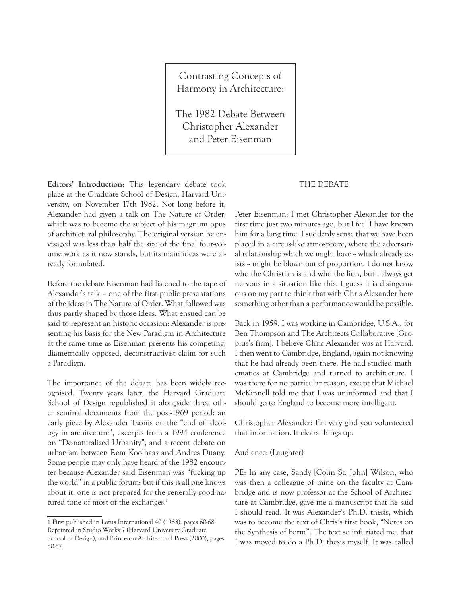Contrasting Concepts of Harmony in Architecture:

The 1982 Debate Between Christopher Alexander and Peter Eisenman

**Editors' Introduction:** This legendary debate took place at the Graduate School of Design, Harvard University, on November 17th 1982. Not long before it, Alexander had given a talk on The Nature of Order, which was to become the subject of his magnum opus of architectural philosophy. The original version he envisaged was less than half the size of the final four-volume work as it now stands, but its main ideas were already formulated.

Before the debate Eisenman had listened to the tape of Alexander's talk – one of the first public presentations of the ideas in The Nature of Order. What followed was thus partly shaped by those ideas. What ensued can be said to represent an historic occasion: Alexander is presenting his basis for the New Paradigm in Architecture at the same time as Eisenman presents his competing, diametrically opposed, deconstructivist claim for such a Paradigm.

The importance of the debate has been widely recognised. Twenty years later, the Harvard Graduate School of Design republished it alongside three other seminal documents from the post-1969 period: an early piece by Alexander Tzonis on the "end of ideology in architecture", excerpts from a 1994 conference on "De-naturalized Urbanity", and a recent debate on urbanism between Rem Koolhaas and Andres Duany. Some people may only have heard of the 1982 encounter because Alexander said Eisenman was "fucking up the world" in a public forum; but if this is all one knows about it, one is not prepared for the generally good-natured tone of most of the exchanges.<sup>1</sup>

## THE DEBATE

Peter Eisenman: I met Christopher Alexander for the first time just two minutes ago, but I feel I have known him for a long time. I suddenly sense that we have been placed in a circus-like atmosphere, where the adversarial relationship which we might have - which already exists - might be blown out of proportion. I do not know who the Christian is and who the lion, but I always get nervous in a situation like this. I guess it is disingenuous on my part to think that with Chris Alexander here something other than a performance would be possible.

Back in 1959, I was working in Cambridge, U.S.A., for Ben Thompson and The Architects Collaborative [Gropius's firm]. I believe Chris Alexander was at Harvard. I then went to Cambridge, England, again not knowing that he had already been there. He had studied mathematics at Cambridge and turned to architecture. I was there for no particular reason, except that Michael McKinnell told me that I was uninformed and that I should go to England to become more intelligent.

Christopher Alexander: I'm very glad you volunteered that information. It clears things up.

### Audience: (Laughter)

PE: In any case, Sandy [Colin St. John] Wilson, who was then a colleague of mine on the faculty at Cambridge and is now professor at the School of Architecture at Cambridge, gave me a manuscript that he said I should read. It was Alexander's Ph.D. thesis, which was to become the text of Chris's first book, "Notes on the Synthesis of Form". The text so infuriated me, that I was moved to do a Ph.D. thesis myself. It was called

<sup>1</sup> First published in Lotus International 40 (1983), pages 60-68. Reprinted in Studio Works 7 (Harvard University Graduate School of Design), and Princeton Architectural Press (2000), pages 50-57.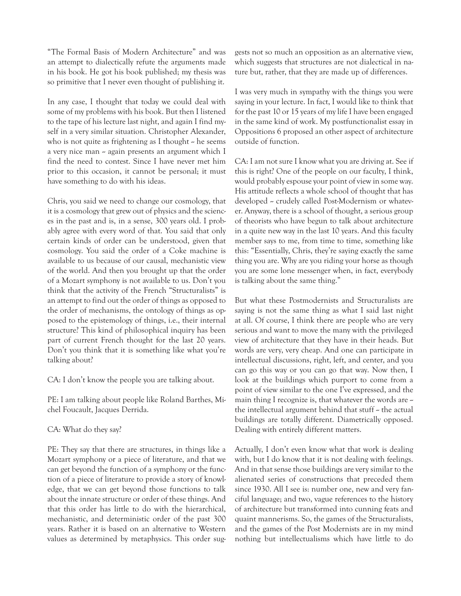"The Formal Basis of Modern Architecture" and was an attempt to dialectically refute the arguments made in his book. He got his book published; my thesis was so primitive that I never even thought of publishing it.

In any case, I thought that today we could deal with some of my problems with his book. But then I listened to the tape of his lecture last night, and again I find myself in a very similar situation. Christopher Alexander, who is not quite as frightening as I thought  $\sim$  he seems a very nice man  $\sim$  again presents an argument which I find the need to contest. Since I have never met him prior to this occasion, it cannot be personal; it must have something to do with his ideas.

Chris, you said we need to change our cosmology, that it is a cosmology that grew out of physics and the sciences in the past and is, in a sense, 300 years old. I probably agree with every word of that. You said that only certain kinds of order can be understood, given that cosmology. You said the order of a Coke machine is available to us because of our causal, mechanistic view of the world. And then you brought up that the order of a Mozart symphony is not available to us. Don't you think that the activity of the French "Structuralists" is an attempt to find out the order of things as opposed to the order of mechanisms, the ontology of things as opposed to the epistemology of things, i.e., their internal structure? This kind of philosophical inquiry has been part of current French thought for the last 20 years. Don't you think that it is something like what you're talking about?

CA: I don't know the people you are talking about.

PE: I am talking about people like Roland Barthes, Michel Foucault, Jacques Derrida.

# CA: What do they say?

PE: They say that there are structures, in things like a Mozart symphony or a piece of literature, and that we can get beyond the function of a symphony or the function of a piece of literature to provide a story of knowledge, that we can get beyond those functions to talk about the innate structure or order of these things. And that this order has little to do with the hierarchical, mechanistic, and deterministic order of the past 300 years. Rather it is based on an alternative to Western values as determined by metaphysics. This order sug-

gests not so much an opposition as an alternative view, which suggests that structures are not dialectical in nature but, rather, that they are made up of differences.

I was very much in sympathy with the things you were saying in your lecture. In fact, I would like to think that for the past 10 or 15 years of my life I have been engaged in the same kind of work. My postfunctionalist essay in Oppositions 6 proposed an other aspect of architecture outside of function.

CA: I am not sure I know what you are driving at. See if this is right? One of the people on our faculty, I think, would probably espouse your point of view in some way. His attitude reflects a whole school of thought that has developed – crudely called Post-Modernism or whatever. Anyway, there is a school of thought, a serious group of theorists who have begun to talk about architecture in a quite new way in the last 10 years. And this faculty member says to me, from time to time, something like this: "Essentially, Chris, they're saying exactly the same thing you are. Why are you riding your horse as though you are some lone messenger when, in fact, everybody is talking about the same thing."

But what these Postmodernists and Structuralists are saying is not the same thing as what I said last night at all. Of course, I think there are people who are very serious and want to move the many with the privileged view of architecture that they have in their heads. But words are very, very cheap. And one can participate in intellectual discussions, right, left, and center, and you can go this way or you can go that way. Now then, I look at the buildings which purport to come from a point of view similar to the one I've expressed, and the main thing I recognize is, that whatever the words are  $\sim$ the intellectual argument behind that stuff  $\sim$  the actual buildings are totally different. Diametrically opposed. Dealing with entirely different matters.

Actually, I don't even know what that work is dealing with, but I do know that it is not dealing with feelings. And in that sense those buildings are very similar to the alienated series of constructions that preceded them since 1930. All I see is: number one, new and very fanciful language; and two, vague references to the history of architecture but transformed into cunning feats and quaint mannerisms. So, the games of the Structuralists, and the games of the Post Modernists are in my mind nothing but intellectualisms which have little to do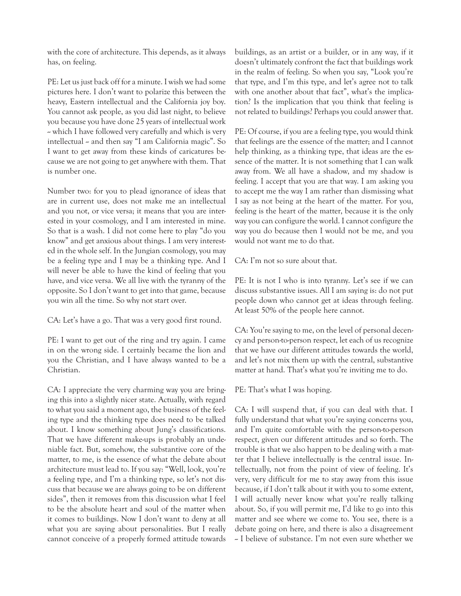with the core of architecture. This depends, as it always has, on feeling.

PE: Let us just back off for a minute. I wish we had some pictures here. I don't want to polarize this between the heavy, Eastern intellectual and the California joy boy. You cannot ask people, as you did last night, to believe you because you have done 25 years of intellectual work - which I have followed very carefully and which is very intellectual – and then say "I am California magic". So I want to get away from these kinds of caricatures because we are not going to get anywhere with them. That is number one.

Number two: for you to plead ignorance of ideas that are in current use, does not make me an intellectual and you not, or vice versa; it means that you are interested in your cosmology, and I am interested in mine. So that is a wash. I did not come here to play "do you know" and get anxious about things. I am very interested in the whole self. In the Jungian cosmology, you may be a feeling type and I may be a thinking type. And I will never be able to have the kind of feeling that you have, and vice versa. We all live with the tyranny of the opposite. So I don't want to get into that game, because you win all the time. So why not start over.

CA: Let's have a go. That was a very good first round.

PE: I want to get out of the ring and try again. I came in on the wrong side. I certainly became the lion and you the Christian, and I have always wanted to be a Christian.

CA: I appreciate the very charming way you are bringing this into a slightly nicer state. Actually, with regard to what you said a moment ago, the business of the feeling type and the thinking type does need to be talked about. I know something about Jung's classifications. That we have different make-ups is probably an undeniable fact. But, somehow, the substantive core of the matter, to me, is the essence of what the debate about architecture must lead to. If you say: "Well, look, you're a feeling type, and I'm a thinking type, so let's not discuss that because we are always going to be on different sides", then it removes from this discussion what I feel to be the absolute heart and soul of the matter when it comes to buildings. Now I don't want to deny at all what you are saying about personalities. But I really cannot conceive of a properly formed attitude towards buildings, as an artist or a builder, or in any way, if it doesn't ultimately confront the fact that buildings work in the realm of feeling. So when you say, "Look you're that type, and I'm this type, and let's agree not to talk with one another about that fact", what's the implication? Is the implication that you think that feeling is not related to buildings? Perhaps you could answer that.

PE: Of course, if you are a feeling type, you would think that feelings are the essence of the matter; and I cannot help thinking, as a thinking type, that ideas are the essence of the matter. It is not something that I can walk away from. We all have a shadow, and my shadow is feeling. I accept that you are that way. I am asking you to accept me the way I am rather than dismissing what I say as not being at the heart of the matter. For you, feeling is the heart of the matter, because it is the only way you can configure the world. I cannot configure the way you do because then I would not be me, and you would not want me to do that.

CA: I'm not so sure about that.

PE: It is not I who is into tyranny. Let's see if we can discuss substantive issues. All I am saying is: do not put people down who cannot get at ideas through feeling. At least 50% of the people here cannot.

CA: You're saying to me, on the level of personal decency and person-to-person respect, let each of us recognize that we have our different attitudes towards the world, and let's not mix them up with the central, substantive matter at hand. That's what you're inviting me to do.

PE: That's what I was hoping.

CA: I will suspend that, if you can deal with that. I fully understand that what you're saying concerns you, and I'm quite comfortable with the person-to-person respect, given our different attitudes and so forth. The trouble is that we also happen to be dealing with a matter that I believe intellectually is the central issue. Intellectually, not from the point of view of feeling. It's very, very difficult for me to stay away from this issue because, if I don't talk about it with you to some extent, I will actually never know what you're really talking about. So, if you will permit me, I'd like to go into this matter and see where we come to. You see, there is a debate going on here, and there is also a disagreement -- I believe of substance. I'm not even sure whether we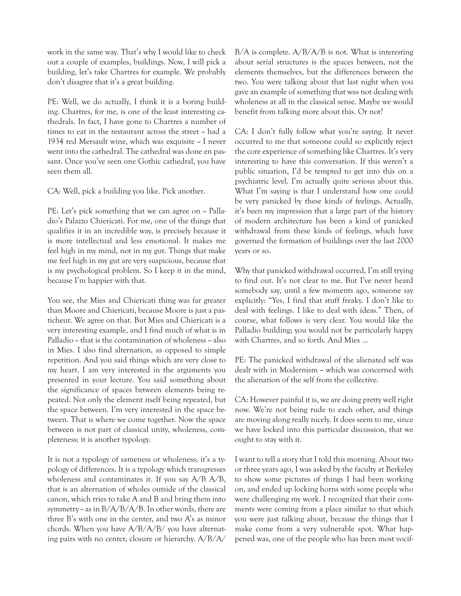work in the same way. That's why I would like to check out a couple of examples, buildings. Now, I will pick a building, let's take Chartres for example. We probably don't disagree that it's a great building.

PE: Well, we do actually, I think it is a boring building. Chartres, for me, is one of the least interesting cathedrals. In fact, I have gone to Chartres a number of times to eat in the restaurant across the street -- had a 1934 red Mersault wine, which was exquisite ~ I never went into the cathedral. The cathedral was done en passant. Once you've seen one Gothic cathedral, you have seen them all.

CA: Well, pick a building you like. Pick another.

PE: Let's pick something that we can agree on  $\sim$  Palladio's Palazzo Chiericati. For me, one of the things that qualifies it in an incredible way, is precisely because it is more intellectual and less emotional. It makes me feel high in my mind, not in my gut. Things that make me feel high in my gut are very suspicious, because that is my psychological problem. So I keep it in the mind, because I'm happier with that.

You see, the Mies and Chiericati thing was far greater than Moore and Chiericati, because Moore is just a pasticheur. We agree on that. But Mies and Chiericati is a very interesting example, and I find much of what is in Palladio  $\sim$  that is the contamination of wholeness  $\sim$  also in Mies. I also find alternation, as opposed to simple repetition. And you said things which are very close to my heart. I am very interested in the arguments you presented in your lecture. You said something about the significance of spaces between elements being repeated. Not only the element itself being repeated, but the space between. I'm very interested in the space between. That is where we come together. Now the space between is not part of classical unity, wholeness, completeness; it is another typology.

It is not a typology of sameness or wholeness; it's a typology of differences. It is a typology which transgresses wholeness and contaminates it. If you say  $A/B$   $A/B$ , that is an alternation of wholes outside of the classical canon, which tries to take A and B and bring them into symmetry  $\sim$  as in B/A/B/A/B. In other words, there are three B's with one in the center, and two A's as minor chords. When you have A/B/A/B/ you have alternating pairs with no center, closure or hierarchy. A/B/A/

 $B/A$  is complete.  $A/B/A/B$  is not. What is interesting about serial structures is the spaces between, not the elements themselves, but the differences between the two. You were talking about that last night when you gave an example of something that was not dealing with wholeness at all in the classical sense. Maybe we would benefit from talking more about this. Or not?

CA: I don't fully follow what you're saying. It never occurred to me that someone could so explicitly reject the core experience of something like Chartres. It's very interesting to have this conversation. If this weren't a public situation, I'd be tempted to get into this on a psychiatric level. I'm actually quite serious about this. What I'm saying is that I understand how one could be very panicked by these kinds of feelings. Actually, it's been my impression that a large part of the history of modern architecture has been a kind of panicked withdrawal from these kinds of feelings, which have governed the formation of buildings over the last 2000 years or so.

Why that panicked withdrawal occurred, I'm still trying to find out. It's not clear to me. But I've never heard somebody say, until a few moments ago, someone say explicitly: "Yes, I find that stuff freaky. I don't like to deal with feelings. I like to deal with ideas." Then, of course, what follows is very clear. You would like the Palladio building; you would not be particularly happy with Chartres, and so forth. And Mies ...

PE: The panicked withdrawal of the alienated self was dealt with in Modernism - which was concerned with the alienation of the self from the collective.

CA: However painful it is, we are doing pretty well right now. We're not being rude to each other, and things are moving along really nicely. It does seem to me, since we have locked into this particular discussion, that we ought to stay with it.

I want to tell a story that I told this morning. About two or three years ago, I was asked by the faculty at Berkeley to show some pictures of things I had been working on, and ended up locking horns with some people who were challenging my work. I recognized that their comments were coming from a place similar to that which you were just talking about, because the things that I make come from a very vulnerable spot. What happened was, one of the people who has been most vocif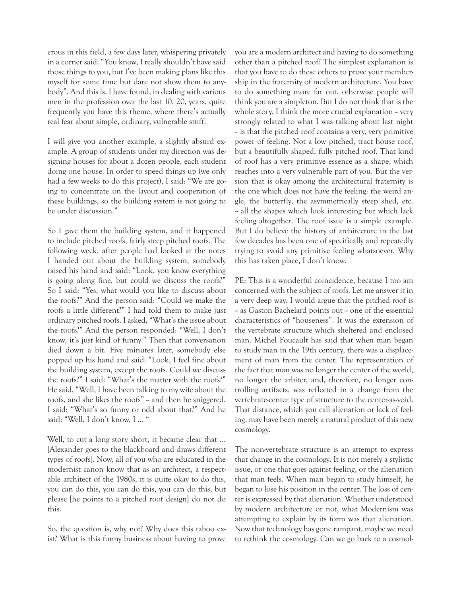erous in this field, a few days later, whispering privately in a corner said: "You know, I really shouldn't have said those things to you, but I've been making plans like this myself for some time but dare not show them to anybody". And this is, I have found, in dealing with various men in the profession over the last 10, 20, years, quite frequently you have this theme, where there's actually real fear about simple, ordinary, vulnerable stuff.

I will give you another example, a slightly absurd example. A group of students under my direction was designing houses for about a dozen people, each student doing one house. In order to speed things up (we only had a few weeks to do this project), I said: "We are going to concentrate on the layout and cooperation of these buildings, so the building system is not going to be under discussion."

So I gave them the building system, and it happened to include pitched roofs, fairly steep pitched roofs. The following week, after people had looked at the notes I handed out about the building system, somebody raised his hand and said: "Look, you know everything is going along fine, but could we discuss the roofs?" So I said: "Yes, what would you like to discuss about the roofs?" And the person said: "Could we make the roofs a little different?" I had told them to make just ordinary pitched roofs. I asked, "What's the issue about the roofs?" And the person responded: "Well, I don't know, it's just kind of funny." Then that conversation died down a bit. Five minutes later, somebody else popped up his hand and said: "Look, I feel fine about the building system, except the roofs. Could we discuss the roofs?" I said: "What's the matter with the roofs?" He said, "Well, I have been talking to my wife about the roofs, and she likes the roofs" - and then he sniggered. I said: "What's so funny or odd about that?" And he said: "Well, I don't know, I ... "

Well, to cut a long story short, it became clear that ... [Alexander goes to the blackboard and draws different types of roofs]. Now, all of you who are educated in the modernist canon know that as an architect, a respectable architect of the 1980s, it is quite okay to do this, you can do this, you can do this, you can do this, but please [he points to a pitched roof design] do not do this.

So, the question is, why not? Why does this taboo exist? What is this funny business about having to prove you are a modern architect and having to do something other than a pitched roof? The simplest explanation is that you have to do these others to prove your membership in the fraternity of modern architecture. You have to do something more far out, otherwise people will think you are a simpleton. But I do not think that is the whole story. I think the more crucial explanation  $\sim$  very strongly related to what I was talking about last night  $\sim$  is that the pitched roof contains a very, very primitive power of feeling. Not a low pitched, tract house roof, but a beautifully shaped, fully pitched roof. That kind of roof has a very primitive essence as a shape, which reaches into a very vulnerable part of you. But the version that is okay among the architectural fraternity is the one which does not have the feeling: the weird angle, the butterfly, the asymmetrically steep shed, etc. -- all the shapes which look interesting but which lack feeling altogether. The roof issue is a simple example. But I do believe the history of architecture in the last few decades has been one of specifically and repeatedly trying to avoid any primitive feeling whatsoever. Why this has taken place, I don't know.

PE: This is a wonderful coincidence, because I too am concerned with the subject of roofs. Let me answer it in a very deep way. I would argue that the pitched roof is - as Gaston Bachelard points out - one of the essential characteristics of "houseness". It was the extension of the vertebrate structure which sheltered and enclosed man. Michel Foucault has said that when man began to study man in the 19th century, there was a displacement of man from the center. The representation of the fact that man was no longer the center of the world, no longer the arbiter, and, therefore, no longer controlling artifacts, was reflected in a change from the vertebrate-center type of structure to the center-as-void. That distance, which you call alienation or lack of feeling, may have been merely a natural product of this new cosmology.

The non-vertebrate structure is an attempt to express that change in the cosmology. It is not merely a stylistic issue, or one that goes against feeling, or the alienation that man feels. When man began to study himself, he began to lose his position in the center. The loss of center is expressed by that alienation. Whether understood by modern architecture or not, what Modernism was attempting to explain by its form was that alienation. Now that technology has gone rampant, maybe we need to rethink the cosmology. Can we go back to a cosmol-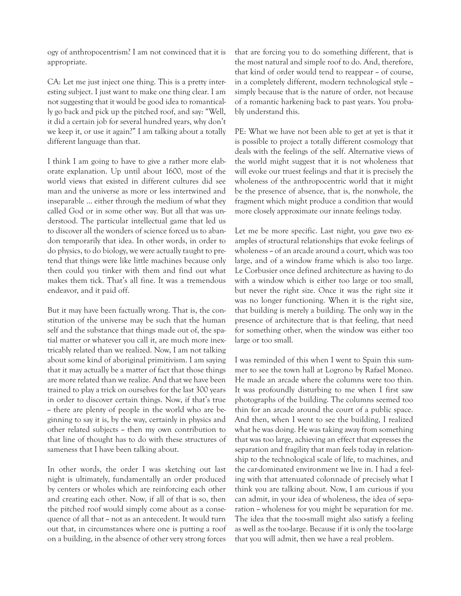ogy of anthropocentrism? I am not convinced that it is appropriate.

CA: Let me just inject one thing. This is a pretty interesting subject. I just want to make one thing clear. I am not suggesting that it would be good idea to romantically go back and pick up the pitched roof, and say: "Well, it did a certain job for several hundred years, why don't we keep it, or use it again?" I am talking about a totally different language than that.

I think I am going to have to give a rather more elaborate explanation. Up until about 1600, most of the world views that existed in different cultures did see man and the universe as more or less intertwined and inseparable ... either through the medium of what they called God or in some other way. But all that was understood. The particular intellectual game that led us to discover all the wonders of science forced us to abandon temporarily that idea. In other words, in order to do physics, to do biology, we were actually taught to pretend that things were like little machines because only then could you tinker with them and find out what makes them tick. That's all fine. It was a tremendous endeavor, and it paid off.

But it may have been factually wrong. That is, the constitution of the universe may be such that the human self and the substance that things made out of, the spatial matter or whatever you call it, are much more inextricably related than we realized. Now, I am not talking about some kind of aboriginal primitivism. I am saying that it may actually be a matter of fact that those things are more related than we realize. And that we have been trained to play a trick on ourselves for the last 300 years in order to discover certain things. Now, if that's true - there are plenty of people in the world who are beginning to say it is, by the way, certainly in physics and other related subjects  $\sim$  then my own contribution to that line of thought has to do with these structures of sameness that I have been talking about.

In other words, the order I was sketching out last night is ultimately, fundamentally an order produced by centers or wholes which are reinforcing each other and creating each other. Now, if all of that is so, then the pitched roof would simply come about as a consequence of all that -- not as an antecedent. It would turn out that, in circumstances where one is putting a roof on a building, in the absence of other very strong forces that are forcing you to do something different, that is the most natural and simple roof to do. And, therefore, that kind of order would tend to reappear  $\sim$  of course, in a completely different, modern technological style -simply because that is the nature of order, not because of a romantic harkening back to past years. You probably understand this.

PE: What we have not been able to get at yet is that it is possible to project a totally different cosmology that deals with the feelings of the self. Alternative views of the world might suggest that it is not wholeness that will evoke our truest feelings and that it is precisely the wholeness of the anthropocentric world that it might be the presence of absence, that is, the nonwhole, the fragment which might produce a condition that would more closely approximate our innate feelings today.

Let me be more specific. Last night, you gave two examples of structural relationships that evoke feelings of wholeness - of an arcade around a court, which was too large, and of a window frame which is also too large. Le Corbusier once defined architecture as having to do with a window which is either too large or too small, but never the right size. Once it was the right size it was no longer functioning. When it is the right size, that building is merely a building. The only way in the presence of architecture that is that feeling, that need for something other, when the window was either too large or too small.

I was reminded of this when I went to Spain this summer to see the town hall at Logrono by Rafael Moneo. He made an arcade where the columns were too thin. It was profoundly disturbing to me when I first saw photographs of the building. The columns seemed too thin for an arcade around the court of a public space. And then, when I went to see the building, I realized what he was doing. He was taking away from something that was too large, achieving an effect that expresses the separation and fragility that man feels today in relationship to the technological scale of life, to machines, and the car-dominated environment we live in. I had a feeling with that attenuated colonnade of precisely what I think you are talking about. Now, I am curious if you can admit, in your idea of wholeness, the idea of separation - wholeness for you might be separation for me. The idea that the too-small might also satisfy a feeling as well as the too-large. Because if it is only the too-large that you will admit, then we have a real problem.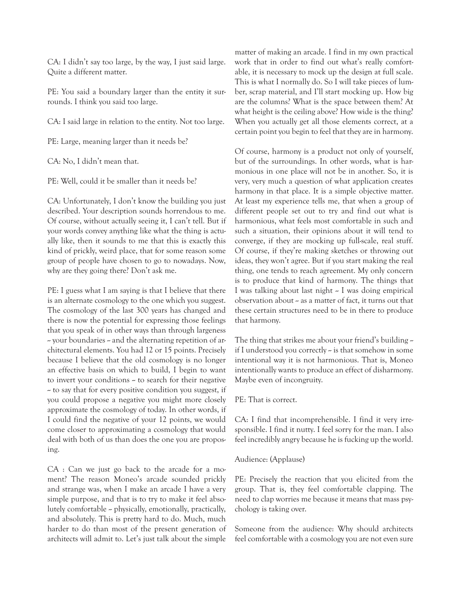CA: I didn't say too large, by the way, I just said large. Quite a different matter.

PE: You said a boundary larger than the entity it surrounds. I think you said too large.

CA: I said large in relation to the entity. Not too large.

PE: Large, meaning larger than it needs be?

CA: No, I didn't mean that.

PE: Well, could it be smaller than it needs be?

CA: Unfortunately, I don't know the building you just described. Your description sounds horrendous to me. Of course, without actually seeing it, I can't tell. But if your words convey anything like what the thing is actually like, then it sounds to me that this is exactly this kind of prickly, weird place, that for some reason some group of people have chosen to go to nowadays. Now, why are they going there? Don't ask me.

PE: I guess what I am saying is that I believe that there is an alternate cosmology to the one which you suggest. The cosmology of the last 300 years has changed and there is now the potential for expressing those feelings that you speak of in other ways than through largeness  $\sim$  your boundaries  $\sim$  and the alternating repetition of architectural elements. You had 12 or 15 points. Precisely because I believe that the old cosmology is no longer an effective basis on which to build, I begin to want to invert your conditions  $\sim$  to search for their negative  $\sim$  to say that for every positive condition you suggest, if you could propose a negative you might more closely approximate the cosmology of today. In other words, if I could find the negative of your 12 points, we would come closer to approximating a cosmology that would deal with both of us than does the one you are proposing.

CA : Can we just go back to the arcade for a moment? The reason Moneo's arcade sounded prickly and strange was, when I make an arcade I have a very simple purpose, and that is to try to make it feel absolutely comfortable -- physically, emotionally, practically, and absolutely. This is pretty hard to do. Much, much harder to do than most of the present generation of architects will admit to. Let's just talk about the simple

matter of making an arcade. I find in my own practical work that in order to find out what's really comfortable, it is necessary to mock up the design at full scale. This is what I normally do. So I will take pieces of lumber, scrap material, and I'll start mocking up. How big are the columns? What is the space between them? At what height is the ceiling above? How wide is the thing? When you actually get all those elements correct, at a certain point you begin to feel that they are in harmony.

Of course, harmony is a product not only of yourself, but of the surroundings. In other words, what is harmonious in one place will not be in another. So, it is very, very much a question of what application creates harmony in that place. It is a simple objective matter. At least my experience tells me, that when a group of different people set out to try and find out what is harmonious, what feels most comfortable in such and such a situation, their opinions about it will tend to converge, if they are mocking up full-scale, real stuff. Of course, if they're making sketches or throwing out ideas, they won't agree. But if you start making the real thing, one tends to reach agreement. My only concern is to produce that kind of harmony. The things that I was talking about last night -- I was doing empirical observation about  $\sim$  as a matter of fact, it turns out that these certain structures need to be in there to produce that harmony.

The thing that strikes me about your friend's building  $\sim$ if I understood you correctly  $\sim$  is that somehow in some intentional way it is not harmonious. That is, Moneo intentionally wants to produce an effect of disharmony. Maybe even of incongruity.

#### PE: That is correct.

CA: I find that incomprehensible. I find it very irresponsible. I find it nutty. I feel sorry for the man. I also feel incredibly angry because he is fucking up the world.

#### Audience: (Applause)

PE: Precisely the reaction that you elicited from the group. That is, they feel comfortable clapping. The need to clap worries me because it means that mass psychology is taking over.

Someone from the audience: Why should architects feel comfortable with a cosmology you are not even sure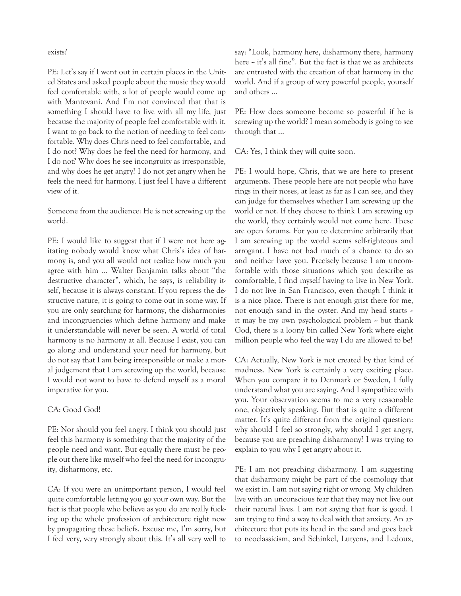#### exists?

PE: Let's say if I went out in certain places in the United States and asked people about the music they would feel comfortable with, a lot of people would come up with Mantovani. And I'm not convinced that that is something I should have to live with all my life, just because the majority of people feel comfortable with it. I want to go back to the notion of needing to feel comfortable. Why does Chris need to feel comfortable, and I do not? Why does he feel the need for harmony, and I do not? Why does he see incongruity as irresponsible, and why does he get angry? I do not get angry when he feels the need for harmony. I just feel I have a different view of it.

Someone from the audience: He is not screwing up the world.

PE: I would like to suggest that if I were not here agitating nobody would know what Chris's idea of harmony is, and you all would not realize how much you agree with him ... Walter Benjamin talks about "the destructive character", which, he says, is reliability itself, because it is always constant. If you repress the destructive nature, it is going to come out in some way. If you are only searching for harmony, the disharmonies and incongruencies which define harmony and make it understandable will never be seen. A world of total harmony is no harmony at all. Because I exist, you can go along and understand your need for harmony, but do not say that I am being irresponsible or make a moral judgement that I am screwing up the world, because I would not want to have to defend myself as a moral imperative for you.

## CA: Good God!

PE: Nor should you feel angry. I think you should just feel this harmony is something that the majority of the people need and want. But equally there must be people out there like myself who feel the need for incongruity, disharmony, etc.

CA: If you were an unimportant person, I would feel quite comfortable letting you go your own way. But the fact is that people who believe as you do are really fucking up the whole profession of architecture right now by propagating these beliefs. Excuse me, I'm sorry, but I feel very, very strongly about this. It's all very well to say: "Look, harmony here, disharmony there, harmony here  $\sim$  it's all fine". But the fact is that we as architects are entrusted with the creation of that harmony in the world. And if a group of very powerful people, yourself and others ...

PE: How does someone become so powerful if he is screwing up the world? I mean somebody is going to see through that ...

CA: Yes, I think they will quite soon.

PE: I would hope, Chris, that we are here to present arguments. These people here are not people who have rings in their noses, at least as far as I can see, and they can judge for themselves whether I am screwing up the world or not. If they choose to think I am screwing up the world, they certainly would not come here. These are open forums. For you to determine arbitrarily that I am screwing up the world seems self-righteous and arrogant. I have not had much of a chance to do so and neither have you. Precisely because I am uncomfortable with those situations which you describe as comfortable, I find myself having to live in New York. I do not live in San Francisco, even though I think it is a nice place. There is not enough grist there for me, not enough sand in the oyster. And my head starts -it may be my own psychological problem  $\sim$  but thank God, there is a loony bin called New York where eight million people who feel the way I do are allowed to be!

CA: Actually, New York is not created by that kind of madness. New York is certainly a very exciting place. When you compare it to Denmark or Sweden, I fully understand what you are saying. And I sympathize with you. Your observation seems to me a very reasonable one, objectively speaking. But that is quite a different matter. It's quite different from the original question: why should I feel so strongly, why should I get angry, because you are preaching disharmony? I was trying to explain to you why I get angry about it.

PE: I am not preaching disharmony. I am suggesting that disharmony might be part of the cosmology that we exist in. I am not saying right or wrong. My children live with an unconscious fear that they may not live out their natural lives. I am not saying that fear is good. I am trying to find a way to deal with that anxiety. An architecture that puts its head in the sand and goes back to neoclassicism, and Schinkel, Lutyens, and Ledoux,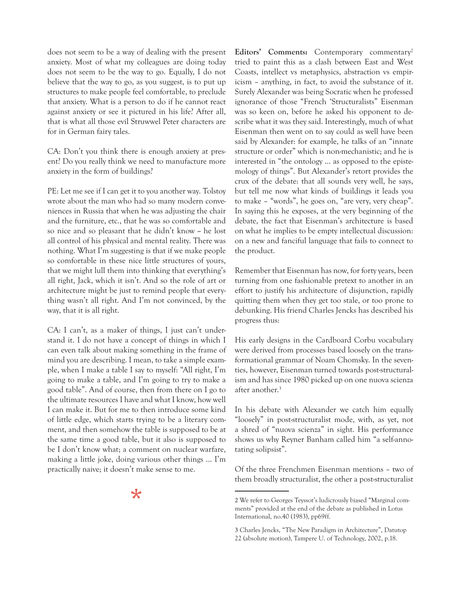does not seem to be a way of dealing with the present anxiety. Most of what my colleagues are doing today does not seem to be the way to go. Equally, I do not believe that the way to go, as you suggest, is to put up structures to make people feel comfortable, to preclude that anxiety. What is a person to do if he cannot react against anxiety or see it pictured in his life? After all, that is what all those evil Struwwel Peter characters are for in German fairy tales.

CA: Don't you think there is enough anxiety at present? Do you really think we need to manufacture more anxiety in the form of buildings?

PE: Let me see if I can get it to you another way. Tolstoy wrote about the man who had so many modern conveniences in Russia that when he was adjusting the chair and the furniture, etc., that he was so comfortable and so nice and so pleasant that he didn't know -- he lost all control of his physical and mental reality. There was nothing. What I'm suggesting is that if we make people so comfortable in these nice little structures of yours, that we might lull them into thinking that everything's all right, Jack, which it isn't. And so the role of art or architecture might be just to remind people that everything wasn't all right. And I'm not convinced, by the way, that it is all right.

CA: I can't, as a maker of things, I just can't understand it. I do not have a concept of things in which I can even talk about making something in the frame of mind you are describing. I mean, to take a simple example, when I make a table I say to myself: "All right, I'm going to make a table, and I'm going to try to make a good table". And of course, then from there on I go to the ultimate resources I have and what I know, how well I can make it. But for me to then introduce some kind of little edge, which starts trying to be a literary comment, and then somehow the table is supposed to be at the same time a good table, but it also is supposed to be I don't know what; a comment on nuclear warfare, making a little joke, doing various other things ... I'm practically naive; it doesn't make sense to me.

 $\star$ 

Editors' Comments: Contemporary commentary<sup>2</sup> tried to paint this as a clash between East and West Coasts, intellect vs metaphysics, abstraction vs empiricism – anything, in fact, to avoid the substance of it. Surely Alexander was being Socratic when he professed ignorance of those "French 'Structuralists" Eisenman was so keen on, before he asked his opponent to describe what it was they said. Interestingly, much of what Eisenman then went on to say could as well have been said by Alexander: for example, he talks of an "innate structure or order" which is non-mechanistic; and he is interested in "the ontology … as opposed to the epistemology of things". But Alexander's retort provides the crux of the debate: that all sounds very well, he says, but tell me now what kinds of buildings it leads you to make – "words", he goes on, "are very, very cheap". In saying this he exposes, at the very beginning of the debate, the fact that Eisenman's architecture is based on what he implies to be empty intellectual discussion: on a new and fanciful language that fails to connect to the product.

Remember that Eisenman has now, for forty years, been turning from one fashionable pretext to another in an effort to justify his architecture of disjunction, rapidly quitting them when they get too stale, or too prone to debunking. His friend Charles Jencks has described his progress thus:

His early designs in the Cardboard Corbu vocabulary were derived from processes based loosely on the transformational grammar of Noam Chomsky. In the seventies, however, Eisenman turned towards post-structuralism and has since 1980 picked up on one nuova scienza after another.<sup>3</sup>

In his debate with Alexander we catch him equally "loosely" in post-structuralist mode, with, as yet, not a shred of "nuova scienza" in sight. His performance shows us why Reyner Banham called him "a self-annotating solipsist".

Of the three Frenchmen Eisenman mentions – two of them broadly structuralist, the other a post-structuralist

<sup>2</sup> We refer to Georges Teyssot's ludicrously biased "Marginal comments" provided at the end of the debate as published in Lotus International, no.40 (1983), pp69ff.

<sup>3</sup> Charles Jencks, "The New Paradigm in Architecture", Datutop 22 (absolute motion), Tampere U. of Technology, 2002, p.18.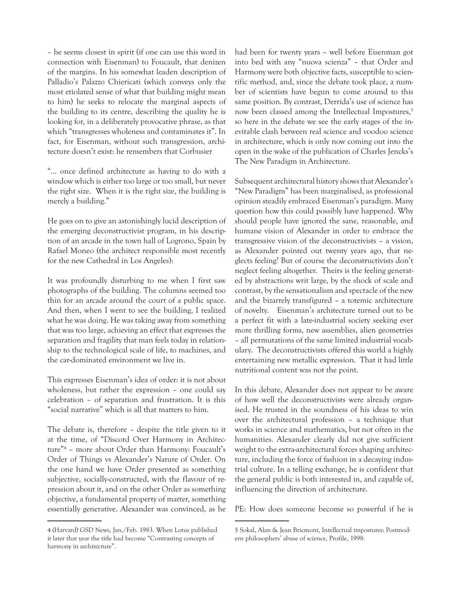– he seems closest in spirit (if one can use this word in connection with Eisenman) to Foucault, that denizen of the margins. In his somewhat leaden description of Palladio's Palazzo Chiericati (which conveys only the most etiolated sense of what that building might mean to him) he seeks to relocate the marginal aspects of the building to its centre, describing the quality he is looking for, in a deliberately provocative phrase, as that which "transgresses wholeness and contaminates it". In fact, for Eisenman, without such transgression, architecture doesn't exist: he remembers that Corbusier

"... once defined architecture as having to do with a window which is either too large or too small, but never the right size. When it is the right size, the building is merely a building."

He goes on to give an astonishingly lucid description of the emerging deconstructivist program, in his description of an arcade in the town hall of Logrono, Spain by Rafael Moneo (the architect responsible most recently for the new Cathedral in Los Angeles):

It was profoundly disturbing to me when I first saw photographs of the building. The columns seemed too thin for an arcade around the court of a public space. And then, when I went to see the building, I realized what he was doing. He was taking away from something that was too large, achieving an effect that expresses the separation and fragility that man feels today in relationship to the technological scale of life, to machines, and the car-dominated environment we live in.

This expresses Eisenman's idea of order: it is not about wholeness, but rather the expression – one could say celebration – of separation and frustration. It is this "social narrative" which is all that matters to him.

The debate is, therefore – despite the title given to it at the time, of "Discord Over Harmony in Architecture"4 – more about Order than Harmony: Foucault's Order of Things vs Alexander's Nature of Order. On the one hand we have Order presented as something subjective, socially-constructed, with the flavour of repression about it, and on the other Order as something objective, a fundamental property of matter, something essentially generative. Alexander was convinced, as he

had been for twenty years – well before Eisenman got into bed with any "nuova scienza" – that Order and Harmony were both objective facts, susceptible to scientific method, and, since the debate took place, a number of scientists have begun to come around to this same position. By contrast, Derrida's use of science has now been classed among the Intellectual Impostures,<sup>5</sup> so here in the debate we see the early stages of the inevitable clash between real science and voodoo science in architecture, which is only now coming out into the open in the wake of the publication of Charles Jencks's The New Paradigm in Architecture.

Subsequent architectural history shows that Alexander's "New Paradigm" has been marginalised, as professional opinion steadily embraced Eisenman's paradigm. Many question how this could possibly have happened. Why should people have ignored the sane, reasonable, and humane vision of Alexander in order to embrace the transgressive vision of the deconstructivists – a vision, as Alexander pointed out twenty years ago, that neglects feeling? But of course the deconstructivists don't neglect feeling altogether. Theirs is the feeling generated by abstractions writ large, by the shock of scale and contrast, by the sensationalism and spectacle of the new and the bizarrely transfigured – a totemic architecture of novelty. Eisenman's architecture turned out to be a perfect fit with a late-industrial society seeking ever more thrilling forms, new assemblies, alien geometries – all permutations of the same limited industrial vocabulary. The deconstructivists offered this world a highly entertaining new metallic expression. That it had little nutritional content was not the point.

In this debate, Alexander does not appear to be aware of how well the deconstructivists were already organised. He trusted in the soundness of his ideas to win over the architectural profession – a technique that works in science and mathematics, but not often in the humanities. Alexander clearly did not give sufficient weight to the extra-architectural forces shaping architecture, including the force of fashion in a decaying industrial culture. In a telling exchange, he is confident that the general public is both interested in, and capable of, influencing the direction of architecture.

PE: How does someone become so powerful if he is

<sup>4</sup> (Harvard) GSD News, Jan./Feb. 1983. When Lotus published it later that year the title had become "Contrasting concepts of harmony in architecture".

<sup>5</sup> Sokal, Alan & Jean Bricmont, Intellectual impostures: Postmodern philosophers' abuse of science, Profile, 1998.